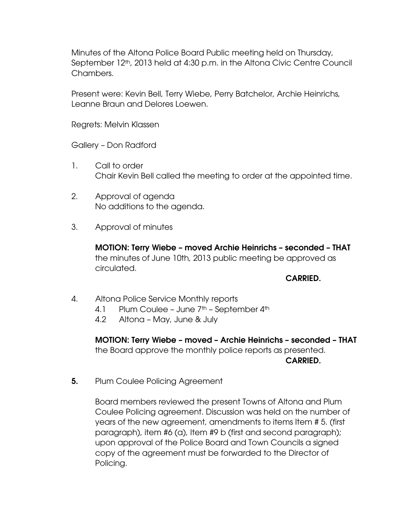Minutes of the Altona Police Board Public meeting held on Thursday, September 12<sup>th</sup>, 2013 held at 4:30 p.m. in the Altona Civic Centre Council Chambers.

Present were: Kevin Bell, Terry Wiebe, Perry Batchelor, Archie Heinrichs, Leanne Braun and Delores Loewen.

Regrets: Melvin Klassen

Gallery – Don Radford

- 1. Call to order Chair Kevin Bell called the meeting to order at the appointed time.
- 2. Approval of agenda No additions to the agenda.
- 3. Approval of minutes

**MOTION: Terry Wiebe – moved Archie Heinrichs – seconded – THAT** the minutes of June 10th, 2013 public meeting be approved as circulated.

## **CARRIED.**

- 4. Altona Police Service Monthly reports
	- 4.1 Plum Coulee June 7<sup>th</sup> September 4<sup>th</sup>
	- 4.2 Altona May, June & July

**MOTION: Terry Wiebe – moved – Archie Heinrichs – seconded – THAT** the Board approve the monthly police reports as presented. **CARRIED.** 

**5.** Plum Coulee Policing Agreement

Board members reviewed the present Towns of Altona and Plum Coulee Policing agreement. Discussion was held on the number of years of the new agreement, amendments to items Item # 5. (first paragraph), item #6 (a), Item #9 b (first and second paragraph); upon approval of the Police Board and Town Councils a signed copy of the agreement must be forwarded to the Director of Policing.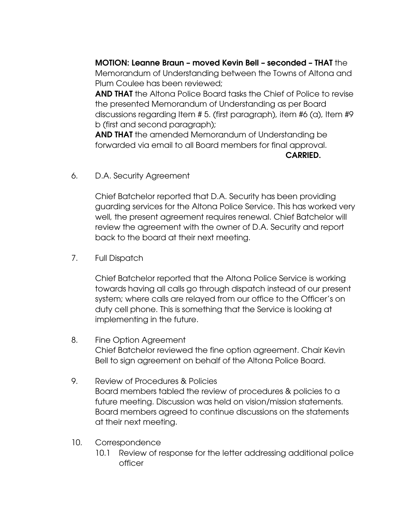**MOTION: Leanne Braun – moved Kevin Bell – seconded – THAT** the Memorandum of Understanding between the Towns of Altona and Plum Coulee has been reviewed;

**AND THAT** the Altona Police Board tasks the Chief of Police to revise the presented Memorandum of Understanding as per Board discussions regarding Item # 5. (first paragraph), item #6 (a), Item #9 b (first and second paragraph);

**AND THAT** the amended Memorandum of Understanding be forwarded via email to all Board members for final approval. **CARRIED.** 

6. D.A. Security Agreement

Chief Batchelor reported that D.A. Security has been providing guarding services for the Altona Police Service. This has worked very well, the present agreement requires renewal. Chief Batchelor will review the agreement with the owner of D.A. Security and report back to the board at their next meeting.

7. Full Dispatch

Chief Batchelor reported that the Altona Police Service is working towards having all calls go through dispatch instead of our present system; where calls are relayed from our office to the Officer's on duty cell phone. This is something that the Service is looking at implementing in the future.

- 8. Fine Option Agreement Chief Batchelor reviewed the fine option agreement. Chair Kevin Bell to sign agreement on behalf of the Altona Police Board.
- 9. Review of Procedures & Policies Board members tabled the review of procedures & policies to a future meeting. Discussion was held on vision/mission statements. Board members agreed to continue discussions on the statements at their next meeting.
- 10. Correspondence
	- 10.1 Review of response for the letter addressing additional police officer